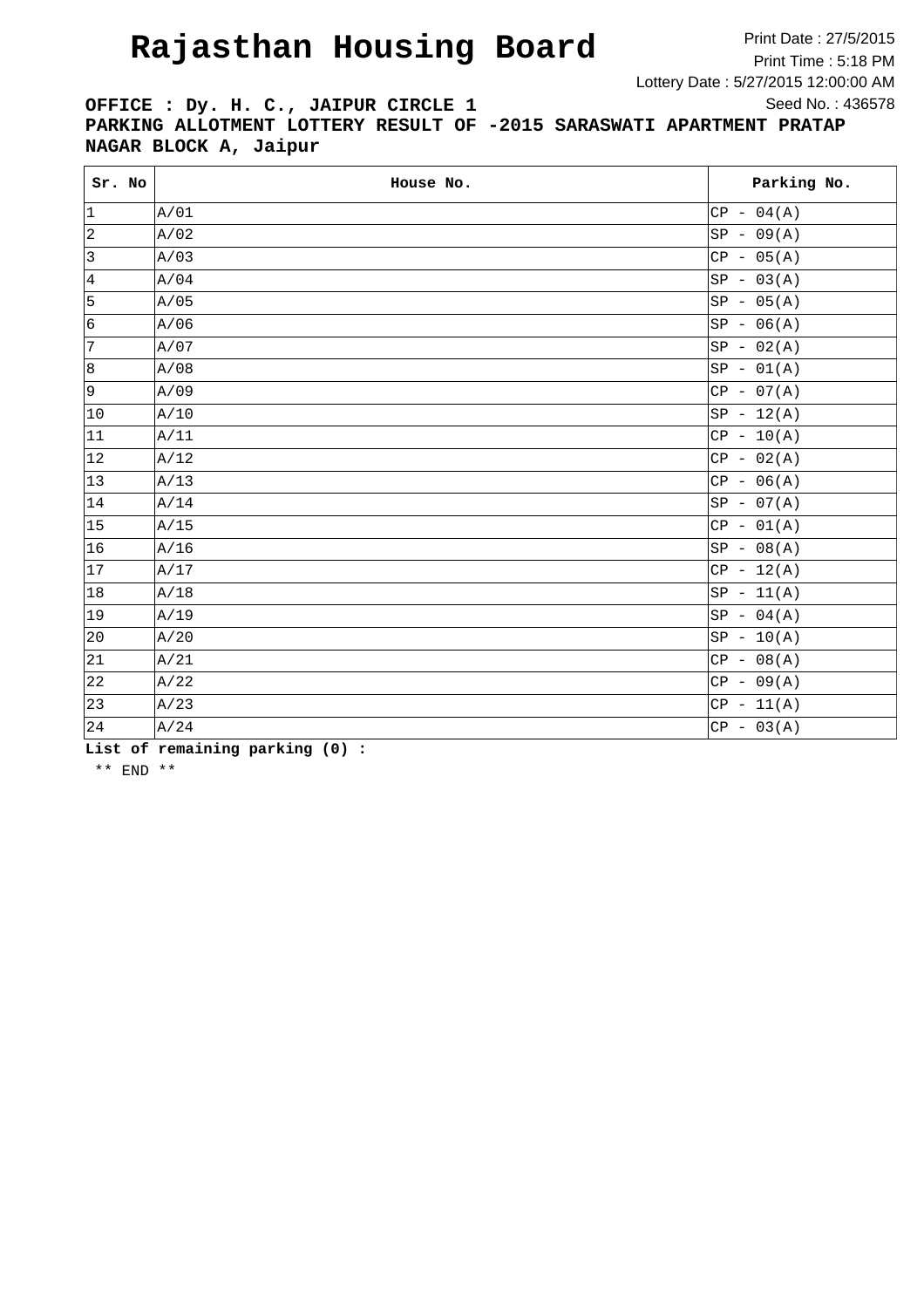Print Date : 27/5/2015 Print Time : 5:18 PM Lottery Date : 5/27/2015 12:00:00 AM Seed No. : 436578

**OFFICE : Dy. H. C., JAIPUR CIRCLE 1 PARKING ALLOTMENT LOTTERY RESULT OF -2015 SARASWATI APARTMENT PRATAP NAGAR BLOCK A, Jaipur**

| Sr. No       | House No. | Parking No.  |
|--------------|-----------|--------------|
| 1            | A/01      | $CP - 04(A)$ |
| $\vert$ 2    | A/02      | $SP - 09(A)$ |
| 3            | A/03      | $CP - 05(A)$ |
| $\vert$ 4    | A/04      | $SP - 03(A)$ |
| 5            | A/05      | $SP - 05(A)$ |
| 6            | A/06      | $SP - 06(A)$ |
| 7            | A/07      | $SP - 02(A)$ |
| 8            | A/08      | $SP - 01(A)$ |
| 9            | A/09      | $CP - 07(A)$ |
| $ 10\rangle$ | A/10      | $SP - 12(A)$ |
| 11           | A/11      | $CP - 10(A)$ |
| 12           | A/12      | $CP - 02(A)$ |
| $ 13\rangle$ | A/13      | $CP - 06(A)$ |
| 14           | A/14      | $SP - 07(A)$ |
| 15           | A/15      | $CP - 01(A)$ |
| 16           | A/16      | $SP - 08(A)$ |
| 17           | A/17      | $CP - 12(A)$ |
| 18           | A/18      | $SP - 11(A)$ |
| $ 19\rangle$ | A/19      | $SP - 04(A)$ |
| 20           | A/20      | $SP - 10(A)$ |
| 21           | A/21      | $CP - 08(A)$ |
| 22           | A/22      | $CP - 09(A)$ |
| 23           | A/23      | $CP - 11(A)$ |
| 24           | A/24      | $CP - 03(A)$ |

**List of remaining parking (0) :**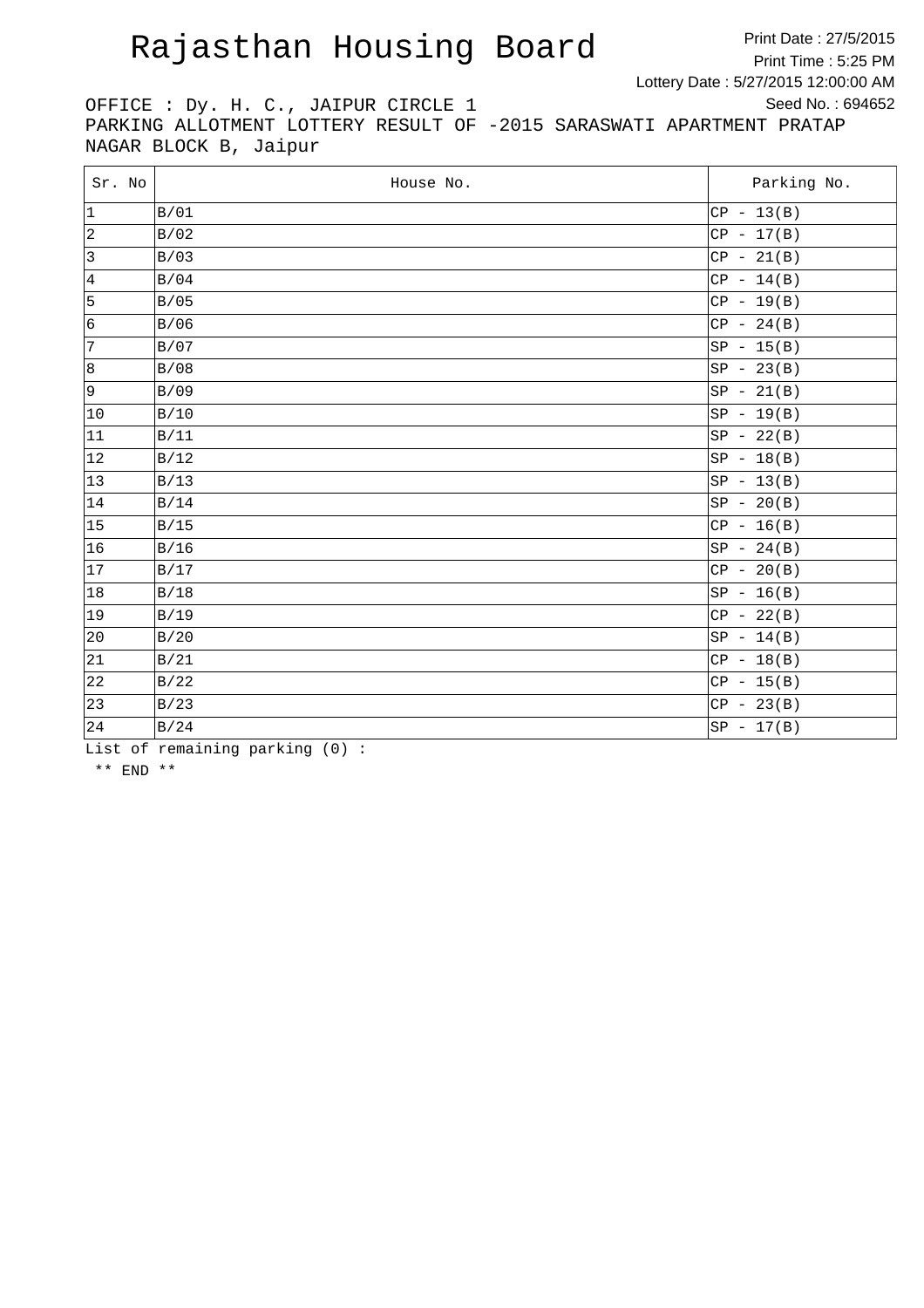Print Date : 27/5/2015 Print Time : 5:25 PM Lottery Date : 5/27/2015 12:00:00 AM Seed No. : 694652

OFFICE : Dy. H. C., JAIPUR CIRCLE 1 PARKING ALLOTMENT LOTTERY RESULT OF -2015 SARASWATI APARTMENT PRATAP NAGAR BLOCK B, Jaipur

| Sr. No       | House No. | Parking No.  |
|--------------|-----------|--------------|
| 1            | B/01      | $CP - 13(B)$ |
| 2            | B/02      | $CP - 17(B)$ |
| 3            | B/03      | $CP - 21(B)$ |
| 4            | B/04      | $CP - 14(B)$ |
| 5            | B/05      | $CP - 19(B)$ |
| 6            | B/06      | $CP - 24(B)$ |
| 7            | B/07      | $SP - 15(B)$ |
| 8            | B/08      | $SP - 23(B)$ |
| 9            | B/09      | $SP - 21(B)$ |
| $ 10\rangle$ | B/10      | $SP - 19(B)$ |
| 11           | B/11      | $SP - 22(B)$ |
| $ 12\rangle$ | B/12      | $SP - 18(B)$ |
| 13           | B/13      | $SP - 13(B)$ |
| 14           | B/14      | $SP - 20(B)$ |
| 15           | B/15      | $CP - 16(B)$ |
| 16           | B/16      | $SP - 24(B)$ |
| 17           | B/17      | $CP - 20(B)$ |
| 18           | B/18      | $SP - 16(B)$ |
| $ 19\rangle$ | B/19      | $CP - 22(B)$ |
| 20           | B/20      | $SP - 14(B)$ |
| 21           | B/21      | $CP - 18(B)$ |
| 22           | B/22      | $CP - 15(B)$ |
| 23           | B/23      | $CP - 23(B)$ |
| 24           | B/24      | $SP - 17(B)$ |

List of remaining parking (0) :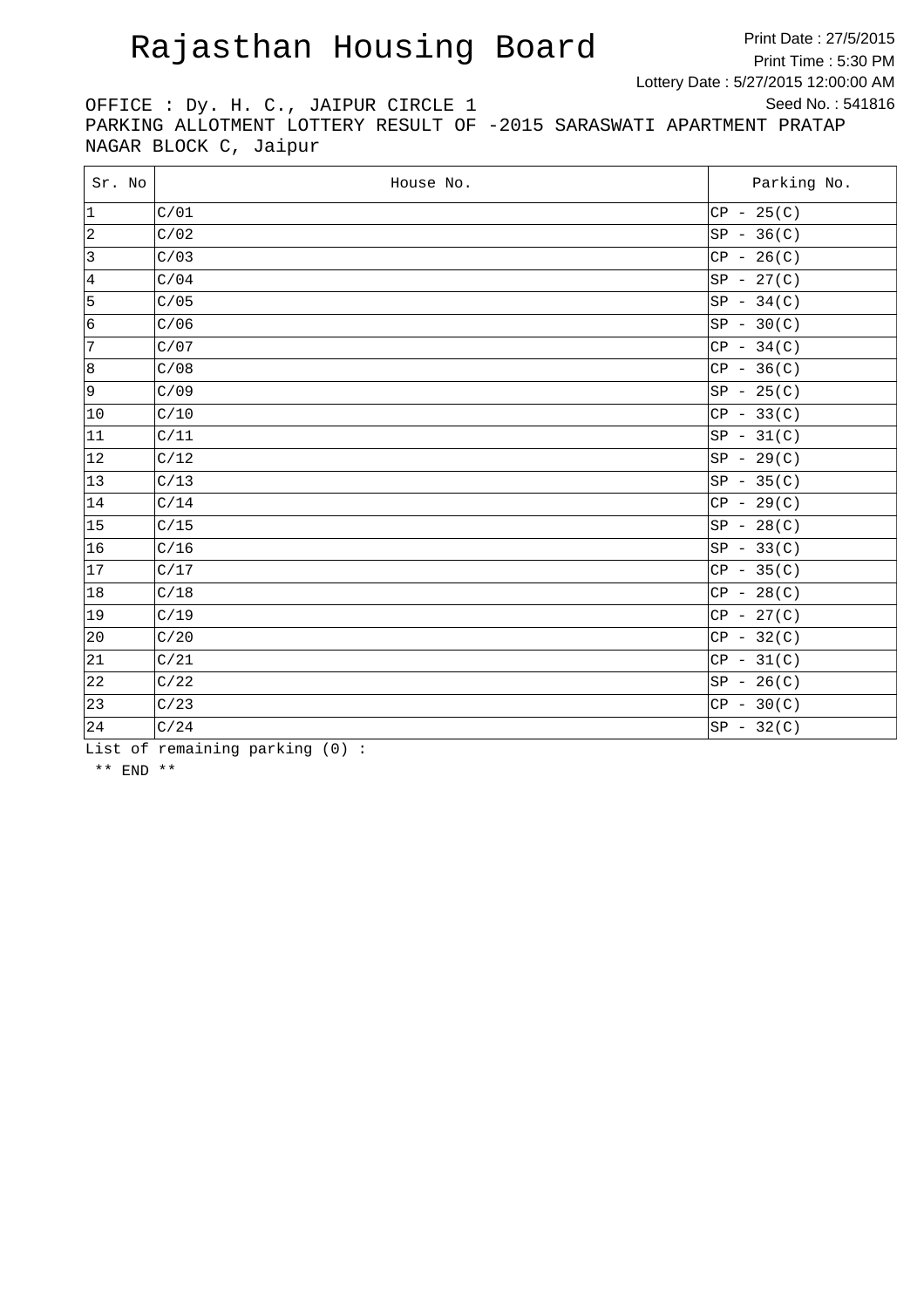Print Date : 27/5/2015 Print Time : 5:30 PM Lottery Date : 5/27/2015 12:00:00 AM Seed No. : 541816

OFFICE : Dy. H. C., JAIPUR CIRCLE 1 PARKING ALLOTMENT LOTTERY RESULT OF -2015 SARASWATI APARTMENT PRATAP NAGAR BLOCK C, Jaipur

| Sr. No         | House No. | Parking No.  |
|----------------|-----------|--------------|
| $ 1\rangle$    | C/01      | $CP - 25(C)$ |
| $ 2\rangle$    | C/02      | $SP - 36(C)$ |
| $\overline{3}$ | C/03      | $CP - 26(C)$ |
| 4              | C/04      | $SP - 27(C)$ |
| 5              | C/05      | $SP - 34(C)$ |
| 6              | C/06      | $SP - 30(C)$ |
| 7              | C/07      | $CP - 34(C)$ |
| 8              | C/08      | $CP - 36(C)$ |
| 9              | C/09      | $SP - 25(C)$ |
| $ 10\rangle$   | C/10      | $CP - 33(C)$ |
| 11             | C/11      | $SP - 31(C)$ |
| 12             | C/12      | $SP - 29(C)$ |
| $ 13\rangle$   | C/13      | $SP - 35(C)$ |
| 14             | C/14      | $CP - 29(C)$ |
| 15             | C/15      | $SP - 28(C)$ |
| 16             | C/16      | $SP - 33(C)$ |
| 17             | C/17      | $CP - 35(C)$ |
| 18             | C/18      | $CP - 28(C)$ |
| $ 19\rangle$   | C/19      | $CP - 27(C)$ |
| $ 20\rangle$   | C/20      | $CP - 32(C)$ |
| 21             | C/21      | $CP - 31(C)$ |
| 22             | C/22      | $SP - 26(C)$ |
| 23             | C/23      | $CP - 30(C)$ |
| 24             | C/24      | $SP - 32(C)$ |

List of remaining parking (0) :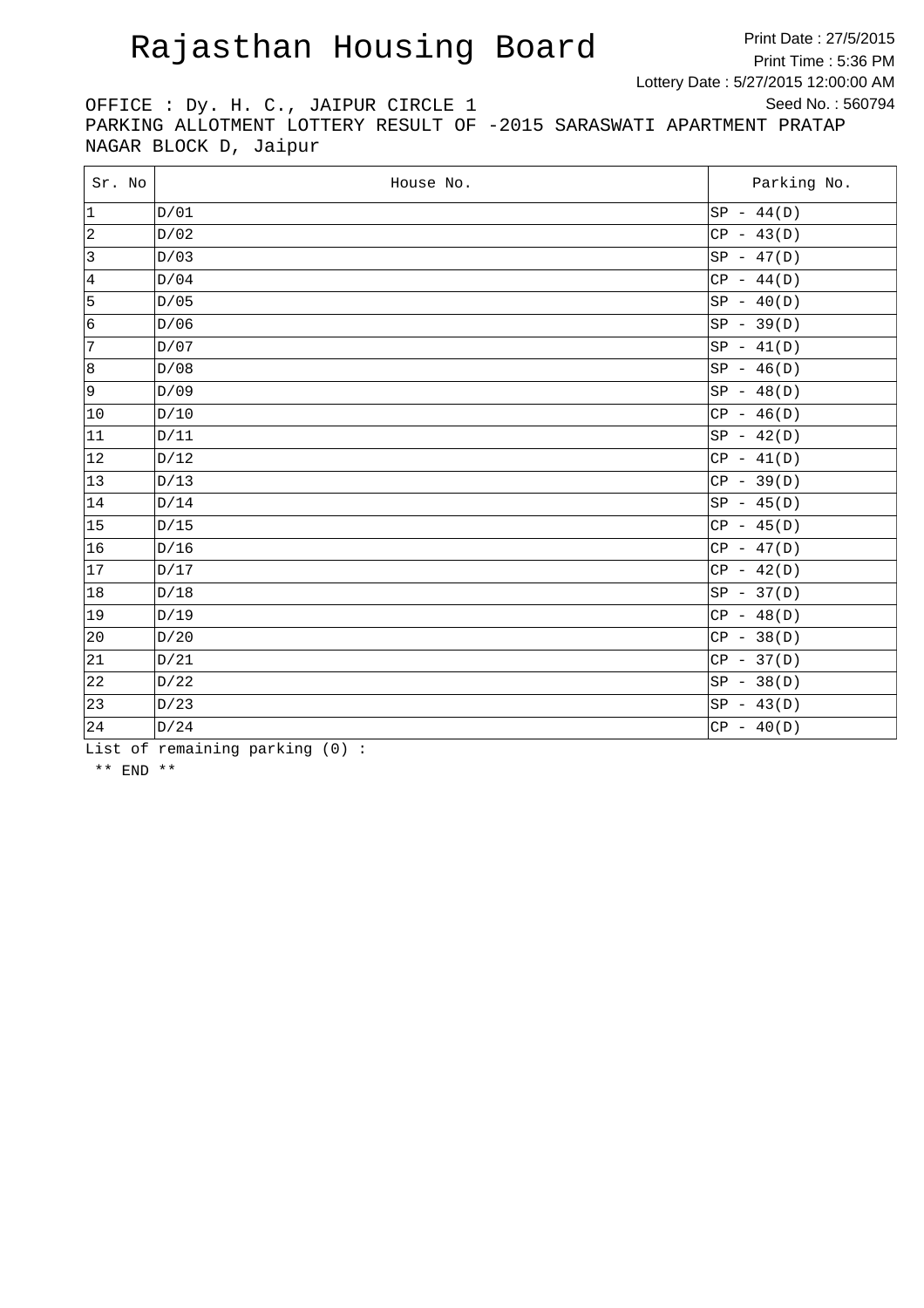Print Date : 27/5/2015 Print Time : 5:36 PM Lottery Date : 5/27/2015 12:00:00 AM Seed No. : 560794

OFFICE : Dy. H. C., JAIPUR CIRCLE 1 PARKING ALLOTMENT LOTTERY RESULT OF -2015 SARASWATI APARTMENT PRATAP NAGAR BLOCK D, Jaipur

| Sr. No          | House No. | Parking No.  |
|-----------------|-----------|--------------|
| 1               | D/01      | $SP - 44(D)$ |
| $ 2\rangle$     | D/02      | $CP - 43(D)$ |
| $ 3\rangle$     | D/03      | $SP - 47(D)$ |
| $\vert 4 \vert$ | D/04      | $CP - 44(D)$ |
| 5               | D/05      | $SP - 40(D)$ |
| 6               | D/06      | $SP - 39(D)$ |
| $\sqrt{7}$      | D/07      | $SP - 41(D)$ |
| 8               | D/08      | $SP - 46(D)$ |
| 9               | D/09      | $SP - 48(D)$ |
| $ 10\rangle$    | D/10      | $CP - 46(D)$ |
| 11              | D/11      | $SP - 42(D)$ |
| 12              | D/12      | $CP - 41(D)$ |
| $ 13\rangle$    | D/13      | $CP - 39(D)$ |
| 14              | D/14      | $SP - 45(D)$ |
| 15              | D/15      | $CP - 45(D)$ |
| 16              | D/16      | $CP - 47(D)$ |
| 17              | D/17      | $CP - 42(D)$ |
| 18              | D/18      | $SP - 37(D)$ |
| $ 19\rangle$    | D/19      | $CP - 48(D)$ |
| 20              | D/20      | $CP - 38(D)$ |
| 21              | D/21      | $CP - 37(D)$ |
| 22              | D/22      | $SP - 38(D)$ |
| 23              | D/23      | $SP - 43(D)$ |
| 24              | D/24      | $CP - 40(D)$ |

List of remaining parking (0) :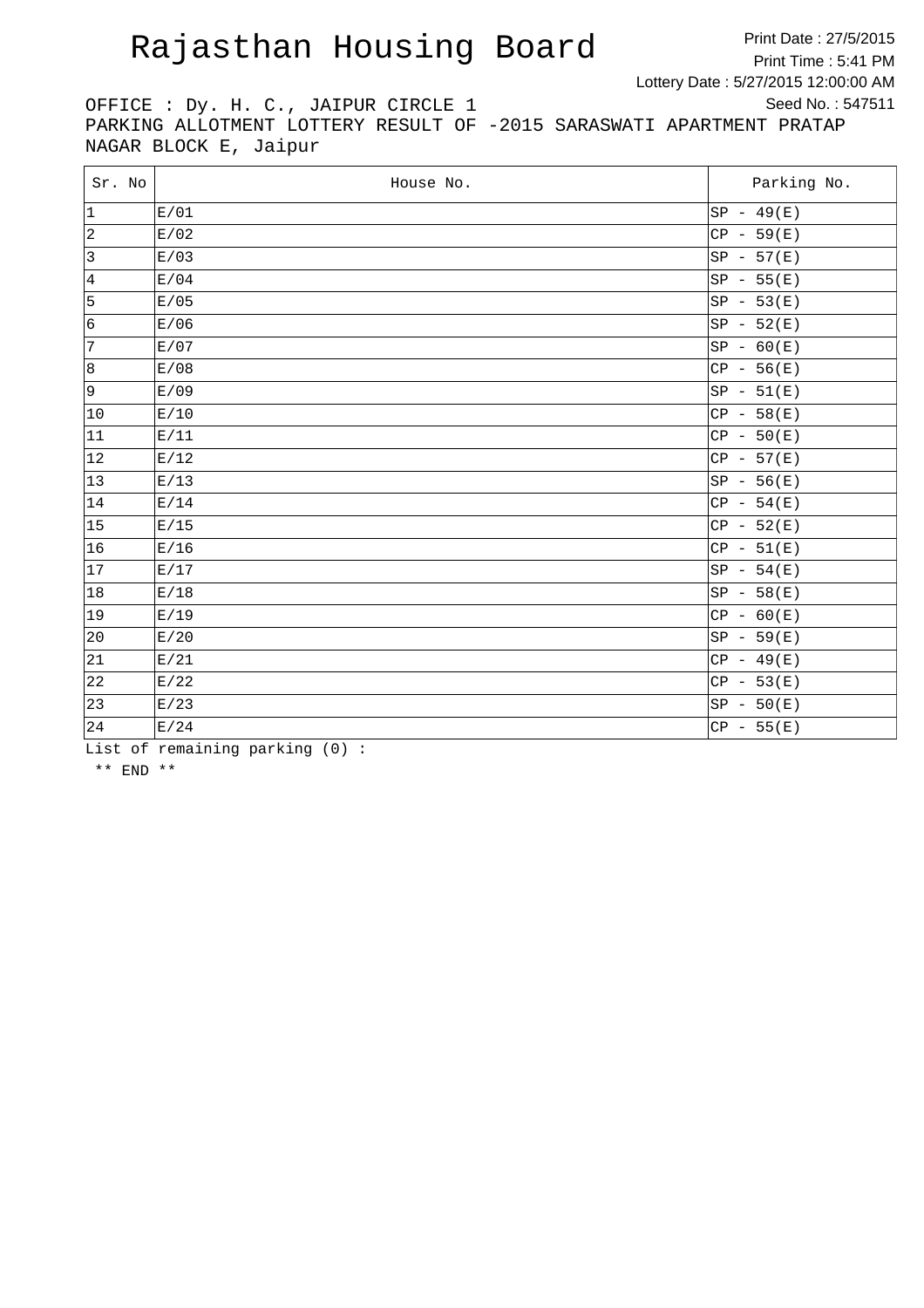Print Date : 27/5/2015 Print Time : 5:41 PM Lottery Date : 5/27/2015 12:00:00 AM Seed No. : 547511

OFFICE : Dy. H. C., JAIPUR CIRCLE 1 PARKING ALLOTMENT LOTTERY RESULT OF -2015 SARASWATI APARTMENT PRATAP NAGAR BLOCK E, Jaipur

| Sr. No         | House No. | Parking No.  |
|----------------|-----------|--------------|
| $ 1\rangle$    | E/01      | $SP - 49(E)$ |
| $ 2\rangle$    | E/02      | $CP - 59(E)$ |
| $\overline{3}$ | E/03      | $SP - 57(E)$ |
| 4              | E/04      | $SP - 55(E)$ |
| 5              | E/05      | $SP - 53(E)$ |
| 6              | E/06      | $SP - 52(E)$ |
| $ 7\rangle$    | E/07      | $SP - 60(E)$ |
| 8              | E/08      | $CP - 56(E)$ |
| 9              | E/09      | $SP - 51(E)$ |
| $ 10\rangle$   | E/10      | $CP - 58(E)$ |
| 11             | E/11      | $CP - 50(E)$ |
| 12             | E/12      | $CP - 57(E)$ |
| $ 13\rangle$   | E/13      | $SP - 56(E)$ |
| 14             | E/14      | $CP - 54(E)$ |
| 15             | E/15      | $CP - 52(E)$ |
| 16             | E/16      | $CP - 51(E)$ |
| 17             | E/17      | $SP - 54(E)$ |
| 18             | E/18      | $SP - 58(E)$ |
| $ 19\rangle$   | E/19      | $CP - 60(E)$ |
| 20             | E/20      | $SP - 59(E)$ |
| 21             | E/21      | $CP - 49(E)$ |
| 22             | E/22      | $CP - 53(E)$ |
| 23             | E/23      | $SP - 50(E)$ |
| 24             | E/24      | $CP - 55(E)$ |

List of remaining parking (0) :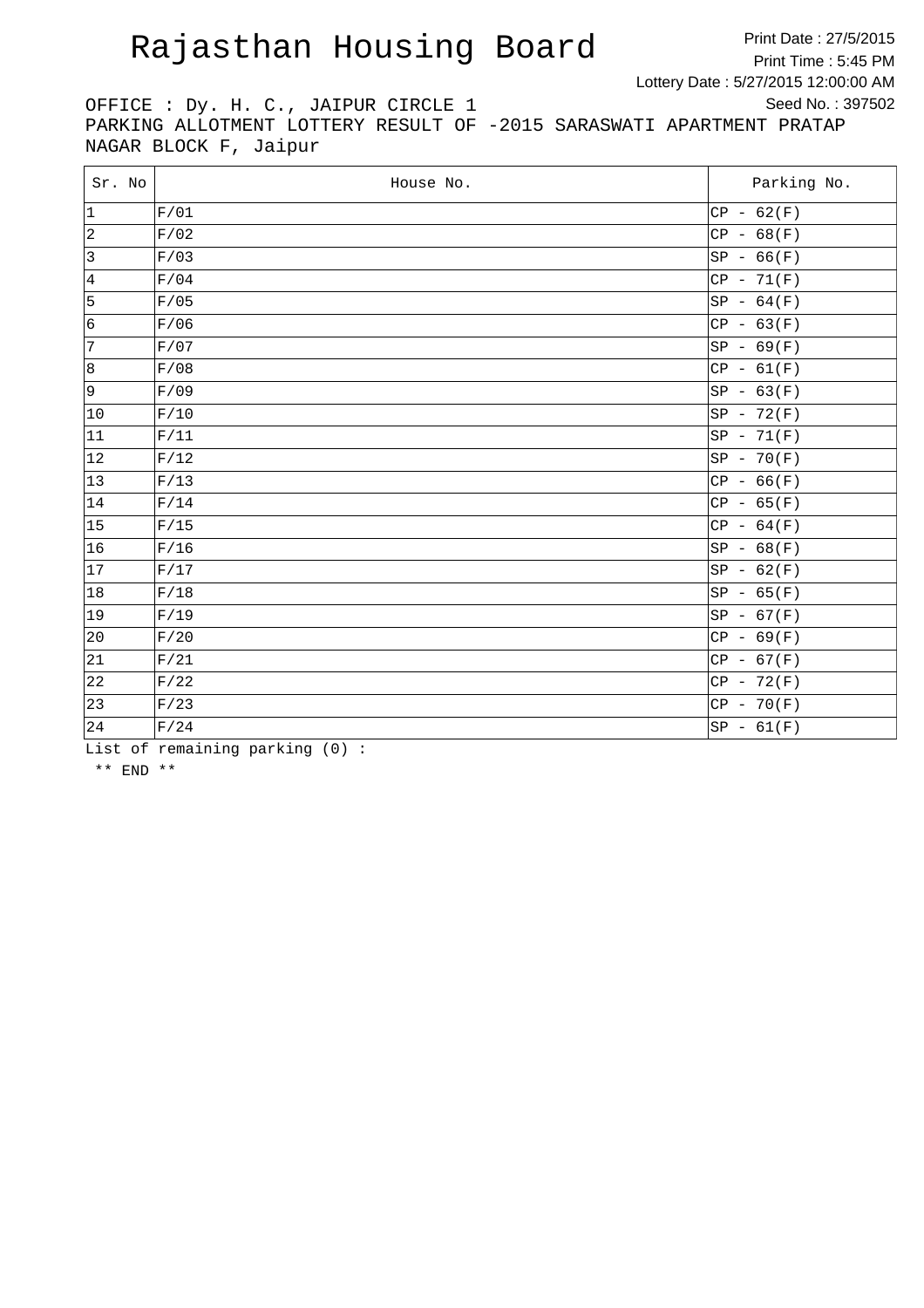Print Date : 27/5/2015 Print Time : 5:45 PM Lottery Date : 5/27/2015 12:00:00 AM Seed No. : 397502

OFFICE : Dy. H. C., JAIPUR CIRCLE 1 PARKING ALLOTMENT LOTTERY RESULT OF -2015 SARASWATI APARTMENT PRATAP NAGAR BLOCK F, Jaipur

| Sr. No          | House No. | Parking No.  |
|-----------------|-----------|--------------|
| $ 1\rangle$     | F/01      | $CP - 62(F)$ |
| $ 2\rangle$     | F/02      | $CP - 68(F)$ |
| 3               | F/03      | $SP - 66(F)$ |
| $\vert 4 \vert$ | F/04      | $CP - 71(F)$ |
| 5               | F/05      | $SP - 64(F)$ |
| 6               | F/06      | $CP - 63(F)$ |
| $ 7\rangle$     | F/07      | $SP - 69(F)$ |
| 8               | F/08      | $CP - 61(F)$ |
| 9               | F/09      | $SP - 63(F)$ |
| $ 10\rangle$    | F/10      | $SP - 72(F)$ |
| 11              | F/11      | $SP - 71(F)$ |
| 12              | F/12      | $SP - 70(F)$ |
| 13              | F/13      | $CP - 66(F)$ |
| 14              | F/14      | $CP - 65(F)$ |
| 15              | F/15      | $CP - 64(F)$ |
| 16              | F/16      | $SP - 68(F)$ |
| 17              | F/17      | $SP - 62(F)$ |
| 18              | F/18      | $SP - 65(F)$ |
| $ 19\rangle$    | F/19      | $SP - 67(F)$ |
| 20              | F/20      | $CP - 69(F)$ |
| 21              | F/21      | $CP - 67(F)$ |
| 22              | F/22      | $CP - 72(F)$ |
| 23              | F/23      | $CP - 70(F)$ |
| 24              | F/24      | $SP - 61(F)$ |

List of remaining parking (0) :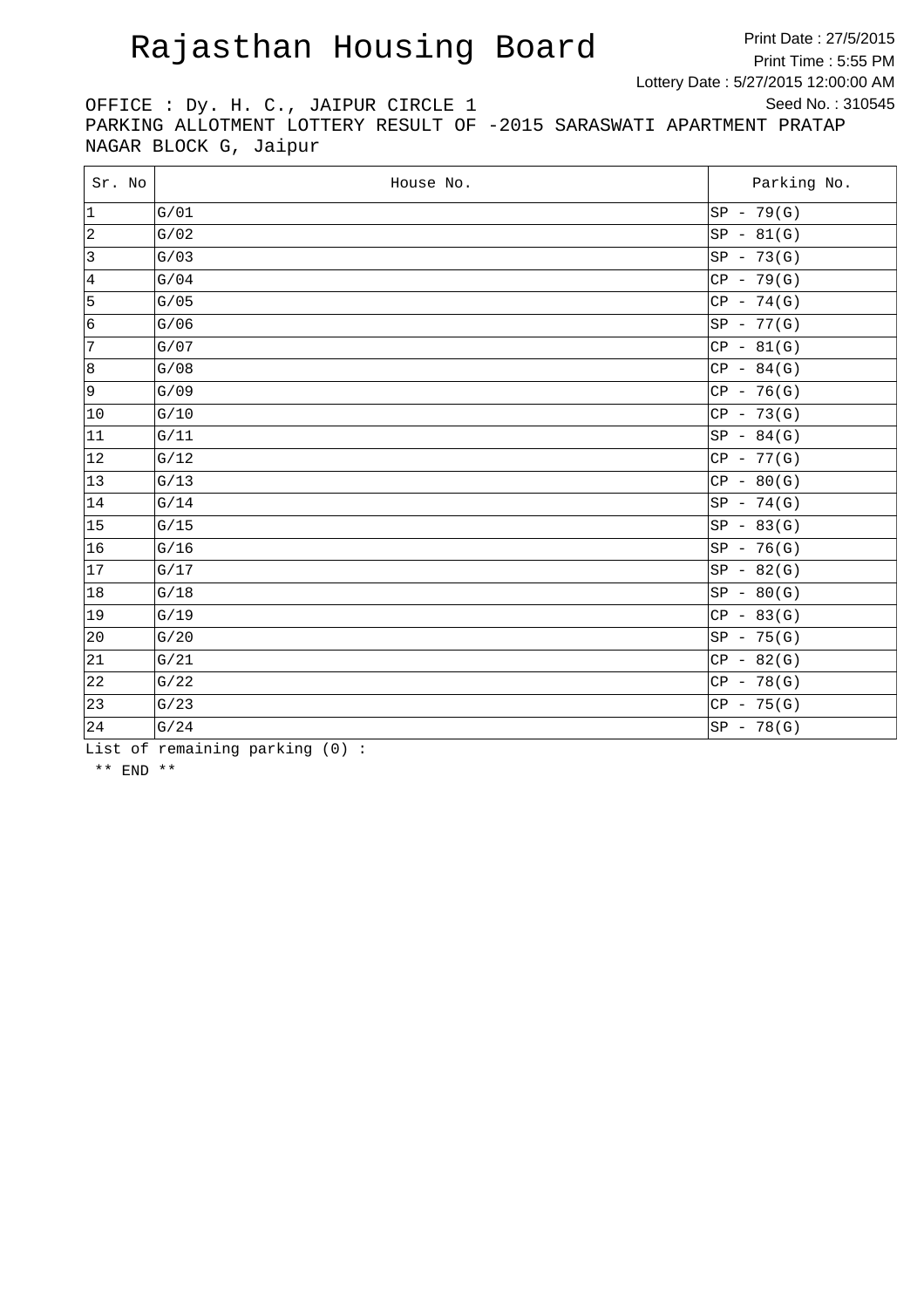Print Date : 27/5/2015 Print Time : 5:55 PM Lottery Date : 5/27/2015 12:00:00 AM Seed No. : 310545

OFFICE : Dy. H. C., JAIPUR CIRCLE 1 PARKING ALLOTMENT LOTTERY RESULT OF -2015 SARASWATI APARTMENT PRATAP NAGAR BLOCK G, Jaipur

| Sr. No         | House No. | Parking No.  |
|----------------|-----------|--------------|
| $ 1\rangle$    | G/01      | $SP - 79(G)$ |
| $\vert$ 2      | G/02      | $SP - 81(G)$ |
| $\overline{3}$ | G/03      | $SP - 73(G)$ |
| 4              | G/04      | $CP - 79(G)$ |
| 5              | G/05      | $CP - 74(G)$ |
| 6              | G/06      | SP - 77(G)   |
| 7              | G/07      | $CP - 81(G)$ |
| 8              | G/08      | $CP - 84(G)$ |
| 9۱             | G/09      | $CP - 76(G)$ |
| $ 10\rangle$   | G/10      | $CP - 73(G)$ |
| 11             | G/11      | $SP - 84(G)$ |
| 12             | G/12      | $CP - 77(G)$ |
| $ 13\rangle$   | G/13      | $CP - 80(G)$ |
| 14             | G/14      | $SP - 74(G)$ |
| 15             | G/15      | $SP - 83(G)$ |
| 16             | G/16      | $SP - 76(G)$ |
| 17             | G/17      | $SP - 82(G)$ |
| 18             | G/18      | $SP - 80(G)$ |
| $ 19\rangle$   | G/19      | $CP - 83(G)$ |
| 20             | G/20      | $SP - 75(G)$ |
| 21             | G/21      | $CP - 82(G)$ |
| 22             | G/22      | $CP - 78(G)$ |
| 23             | G/23      | $CP - 75(G)$ |
| 24             | G/24      | $SP - 78(G)$ |

List of remaining parking (0) :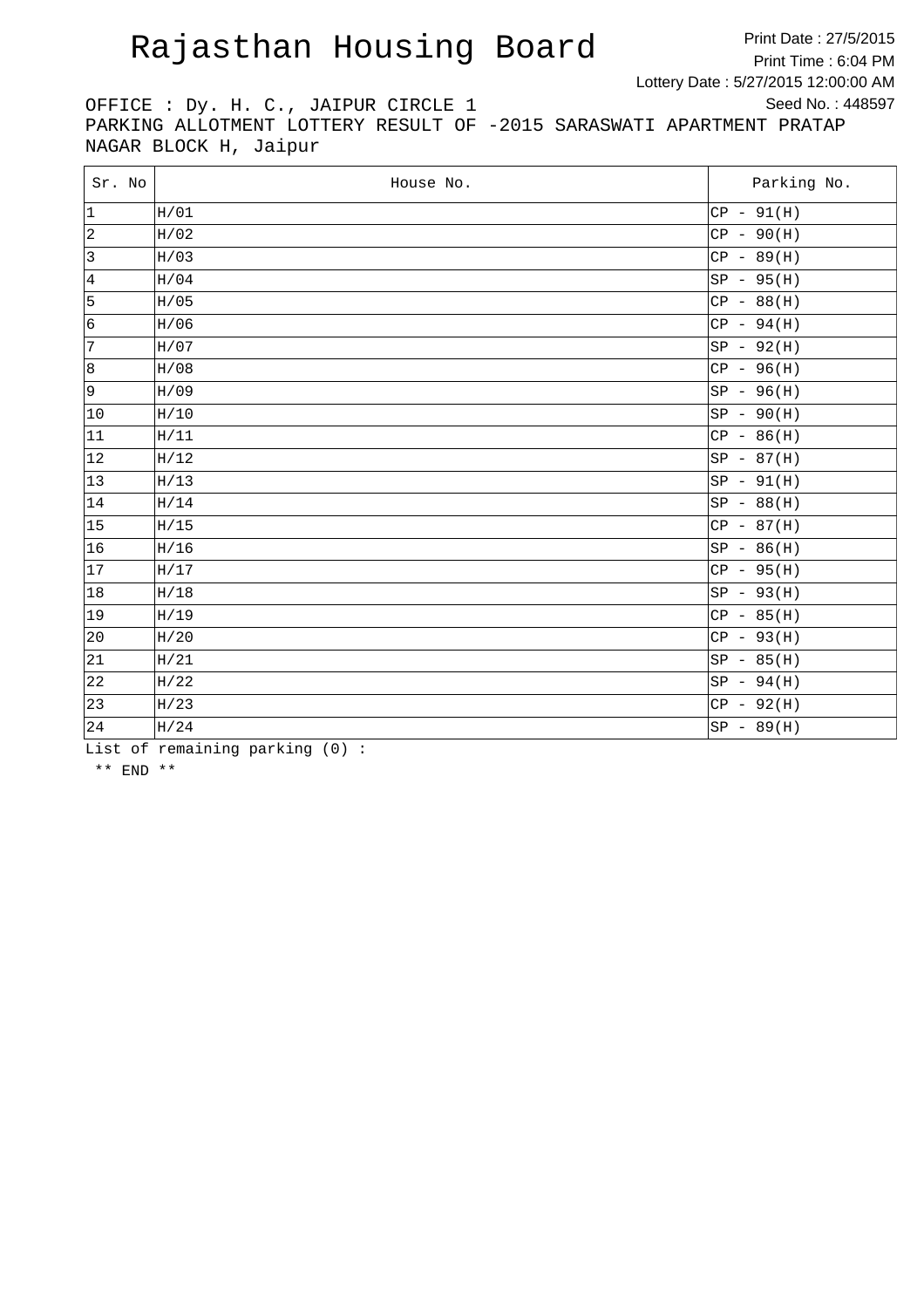Print Date : 27/5/2015 Print Time : 6:04 PM Lottery Date : 5/27/2015 12:00:00 AM Seed No. : 448597

OFFICE : Dy. H. C., JAIPUR CIRCLE 1 PARKING ALLOTMENT LOTTERY RESULT OF -2015 SARASWATI APARTMENT PRATAP NAGAR BLOCK H, Jaipur

| Sr. No       | House No. | Parking No.  |
|--------------|-----------|--------------|
| 1            | H/01      | $CP - 91(H)$ |
| $\vert$ 2    | H/02      | $CP - 90(H)$ |
| $ 3\rangle$  | H/03      | $CP - 89(H)$ |
| 4            | H/04      | $SP - 95(H)$ |
| 5            | H/05      | $CP - 88(H)$ |
| 6            | H/06      | $CP - 94(H)$ |
| 7            | H/07      | $SP - 92(H)$ |
| 8            | H/08      | $CP - 96(H)$ |
| 9            | H/09      | $SP - 96(H)$ |
| $ 10\rangle$ | H/10      | $SP - 90(H)$ |
| 11           | H/11      | $CP - 86(H)$ |
| $ 12\rangle$ | H/12      | $SP - 87(H)$ |
| 13           | H/13      | $SP - 91(H)$ |
| 14           | H/14      | $SP - 88(H)$ |
| 15           | H/15      | $CP - 87(H)$ |
| 16           | H/16      | $SP - 86(H)$ |
| 17           | H/17      | $CP - 95(H)$ |
| 18           | H/18      | $SP - 93(H)$ |
| $ 19\rangle$ | H/19      | $CP - 85(H)$ |
| 20           | H/20      | $CP - 93(H)$ |
| 21           | H/21      | $SP - 85(H)$ |
| 22           | H/22      | $SP - 94(H)$ |
| 23           | H/23      | $CP - 92(H)$ |
| 24           | H/24      | $SP - 89(H)$ |

List of remaining parking (0) :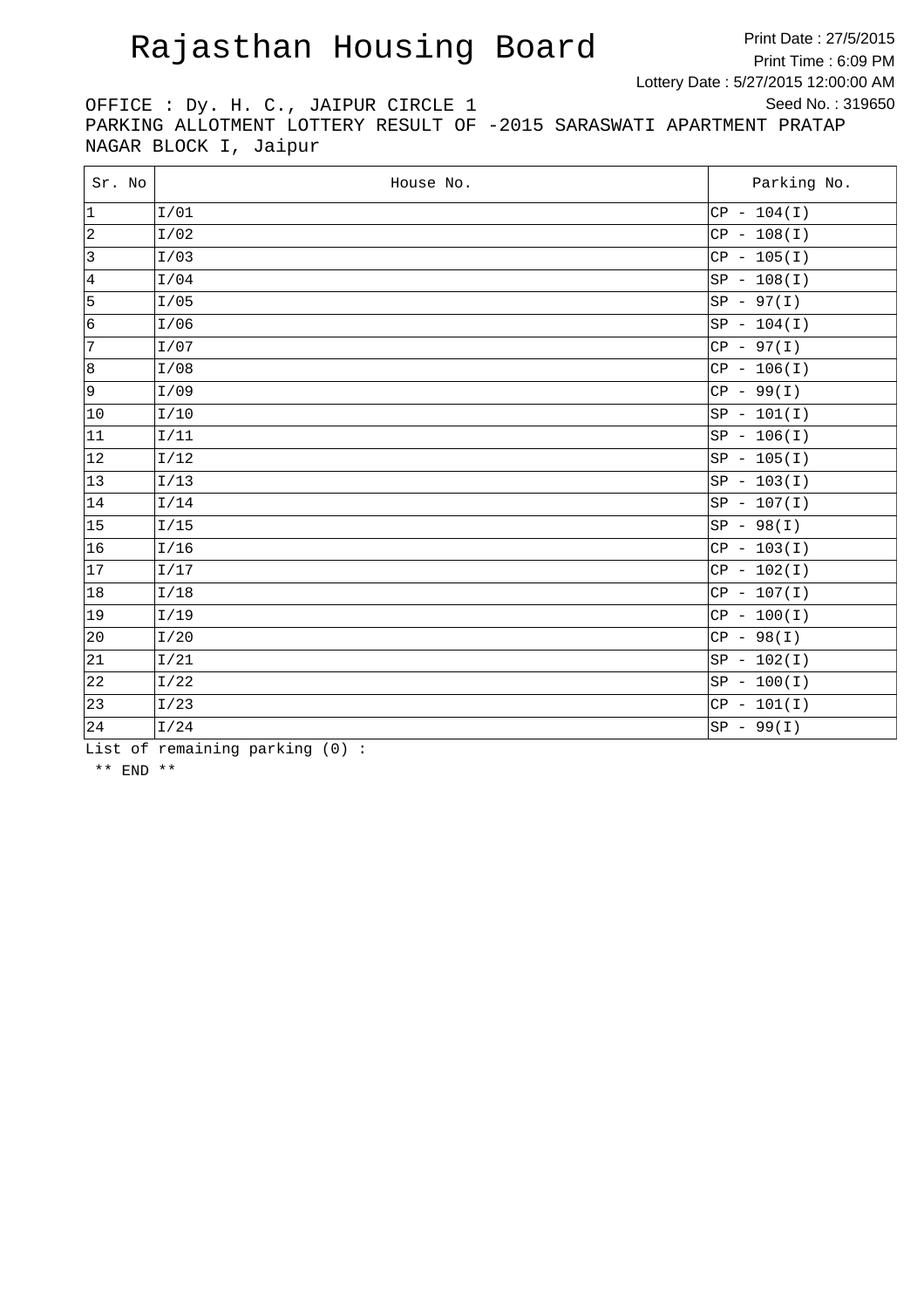Print Date : 27/5/2015 Print Time : 6:09 PM Lottery Date : 5/27/2015 12:00:00 AM Seed No. : 319650

OFFICE : Dy. H. C., JAIPUR CIRCLE 1 PARKING ALLOTMENT LOTTERY RESULT OF -2015 SARASWATI APARTMENT PRATAP NAGAR BLOCK I, Jaipur

| Sr. No         | House No. | Parking No.   |
|----------------|-----------|---------------|
| $ 1\rangle$    | I/01      | $CP - 104(I)$ |
| $ 2\rangle$    | I/02      | $CP - 108(I)$ |
| $\overline{3}$ | I/03      | $CP - 105(I)$ |
| 4              | I/04      | $SP - 108(I)$ |
| 5              | I/05      | $SP - 97(I)$  |
| 6              | I/06      | $SP - 104(I)$ |
| 7              | I/07      | $CP - 97(I)$  |
| 8              | I/08      | $CP - 106(I)$ |
| 9              | I/09      | $CP - 99(I)$  |
| $ 10\rangle$   | I/10      | $SP - 101(I)$ |
| 11             | I/11      | $SP - 106(I)$ |
| 12             | I/12      | $SP - 105(I)$ |
| 13             | I/13      | $SP - 103(I)$ |
| 14             | I/14      | $SP - 107(I)$ |
| 15             | I/15      | $SP - 98(I)$  |
| 16             | I/16      | $CP - 103(I)$ |
| 17             | I/17      | $CP - 102(I)$ |
| 18             | I/18      | $CP - 107(I)$ |
| $ 19\rangle$   | I/19      | $CP - 100(I)$ |
| 20             | I/20      | $CP - 98(I)$  |
| 21             | I/21      | $SP - 102(I)$ |
| 22             | I/22      | $SP - 100(I)$ |
| 23             | I/23      | $CP - 101(I)$ |
| 24             | I/24      | $SP - 99(I)$  |

List of remaining parking (0) :